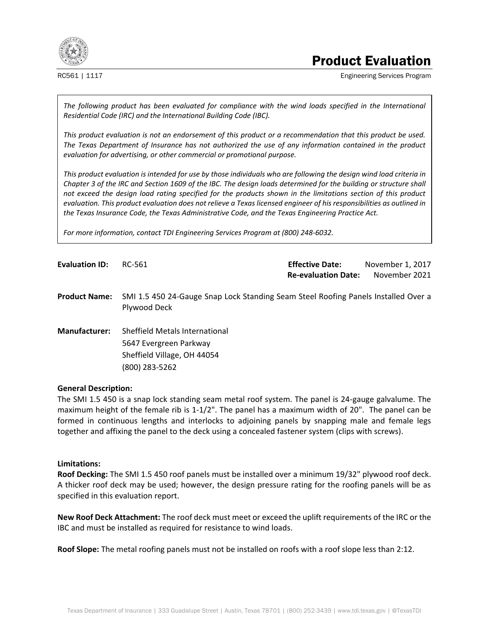

# Product Evaluation

RC561 | 1117 **Engineering Services Program** 

The following product has been evaluated for compliance with the wind loads specified in the International *Residential Code (IRC) and the International Building Code (IBC).* 

*This product evaluation is not an endorsement of this product or a recommendation that this product be used. The Texas Department of Insurance has not authorized the use of any information contained in the product evaluation for advertising, or other commercial or promotional purpose.* 

*This product evaluation is intended for use by those individuals who are following the design wind load criteria in Chapter 3 of the IRC and Section 1609 of the IBC. The design loads determined for the building or structure shall not exceed the design load rating specified for the products shown in the limitations section of this product evaluation. This product evaluation does not relieve a Texas licensed engineer of his responsibilities as outlined in the Texas Insurance Code, the Texas Administrative Code, and the Texas Engineering Practice Act.* 

*For more information, contact TDI Engineering Services Program at (800) 248-6032.* 

**Evaluation ID:** RC-561 **Effective Date:** November 1, 2017 **Re-evaluation Date:** November 2021

**Product Name:** SMI 1.5 450 24-Gauge Snap Lock Standing Seam Steel Roofing Panels Installed Over a Plywood Deck

**Manufacturer:** Sheffield Metals International 5647 Evergreen Parkway Sheffield Village, OH 44054 (800) 283-5262

#### **General Description:**

The SMI 1.5 450 is a snap lock standing seam metal roof system. The panel is 24-gauge galvalume. The maximum height of the female rib is 1-1/2". The panel has a maximum width of 20". The panel can be formed in continuous lengths and interlocks to adjoining panels by snapping male and female legs together and affixing the panel to the deck using a concealed fastener system (clips with screws).

## **Limitations:**

**Roof Decking:** The SMI 1.5 450 roof panels must be installed over a minimum 19/32" plywood roof deck. A thicker roof deck may be used; however, the design pressure rating for the roofing panels will be as specified in this evaluation report.

**New Roof Deck Attachment:** The roof deck must meet or exceed the uplift requirements of the IRC or the IBC and must be installed as required for resistance to wind loads.

**Roof Slope:** The metal roofing panels must not be installed on roofs with a roof slope less than 2:12.